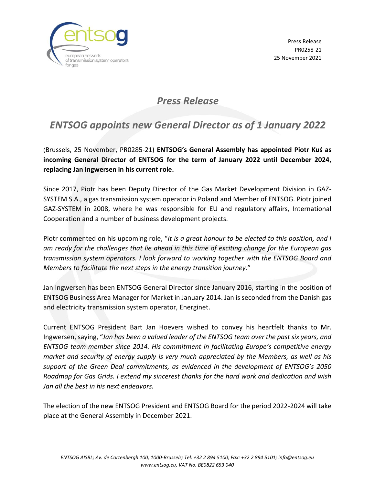

*Press Release*

## *ENTSOG appoints new General Director as of 1 January 2022*

(Brussels, 25 November, PR0285-21) **ENTSOG's General Assembly has appointed Piotr Kuś as incoming General Director of ENTSOG for the term of January 2022 until December 2024, replacing Jan Ingwersen in his current role.**

Since 2017, Piotr has been Deputy Director of the Gas Market Development Division in GAZ-SYSTEM S.A., a gas transmission system operator in Poland and Member of ENTSOG. Piotr joined GAZ-SYSTEM in 2008, where he was responsible for EU and regulatory affairs, International Cooperation and a number of business development projects.

Piotr commented on his upcoming role, "*It is a great honour to be elected to this position, and I am ready for the challenges that lie ahead in this time of exciting change for the European gas transmission system operators. I look forward to working together with the ENTSOG Board and Members to facilitate the next steps in the energy transition journey.*"

Jan Ingwersen has been ENTSOG General Director since January 2016, starting in the position of ENTSOG Business Area Manager for Market in January 2014. Jan is seconded from the Danish gas and electricity transmission system operator, Energinet.

Current ENTSOG President Bart Jan Hoevers wished to convey his heartfelt thanks to Mr. Ingwersen, saying, "*Jan has been a valued leader of the ENTSOG team over the past six years, and ENTSOG team member since 2014. His commitment in facilitating Europe's competitive energy market and security of energy supply is very much appreciated by the Members, as well as his support of the Green Deal commitments, as evidenced in the development of ENTSOG's 2050 Roadmap for Gas Grids. I extend my sincerest thanks for the hard work and dedication and wish Jan all the best in his next endeavors.* 

The election of the new ENTSOG President and ENTSOG Board for the period 2022-2024 will take place at the General Assembly in December 2021.